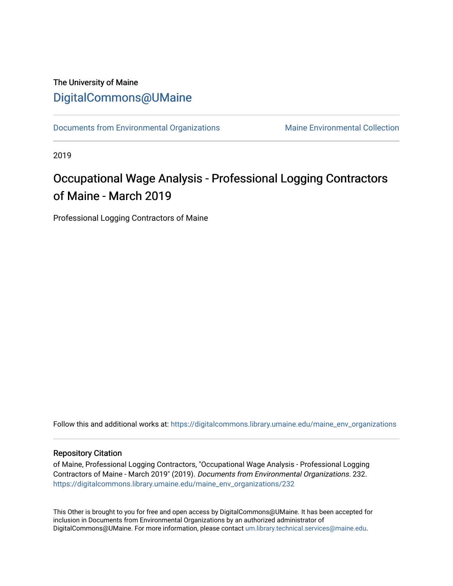## The University of Maine [DigitalCommons@UMaine](https://digitalcommons.library.umaine.edu/)

[Documents from Environmental Organizations](https://digitalcommons.library.umaine.edu/maine_env_organizations) Maine Environmental Collection

2019

# Occupational Wage Analysis - Professional Logging Contractors of Maine - March 2019

Professional Logging Contractors of Maine

Follow this and additional works at: [https://digitalcommons.library.umaine.edu/maine\\_env\\_organizations](https://digitalcommons.library.umaine.edu/maine_env_organizations?utm_source=digitalcommons.library.umaine.edu%2Fmaine_env_organizations%2F232&utm_medium=PDF&utm_campaign=PDFCoverPages)

## Repository Citation

of Maine, Professional Logging Contractors, "Occupational Wage Analysis - Professional Logging Contractors of Maine - March 2019" (2019). Documents from Environmental Organizations. 232. [https://digitalcommons.library.umaine.edu/maine\\_env\\_organizations/232](https://digitalcommons.library.umaine.edu/maine_env_organizations/232?utm_source=digitalcommons.library.umaine.edu%2Fmaine_env_organizations%2F232&utm_medium=PDF&utm_campaign=PDFCoverPages)

This Other is brought to you for free and open access by DigitalCommons@UMaine. It has been accepted for inclusion in Documents from Environmental Organizations by an authorized administrator of DigitalCommons@UMaine. For more information, please contact [um.library.technical.services@maine.edu](mailto:um.library.technical.services@maine.edu).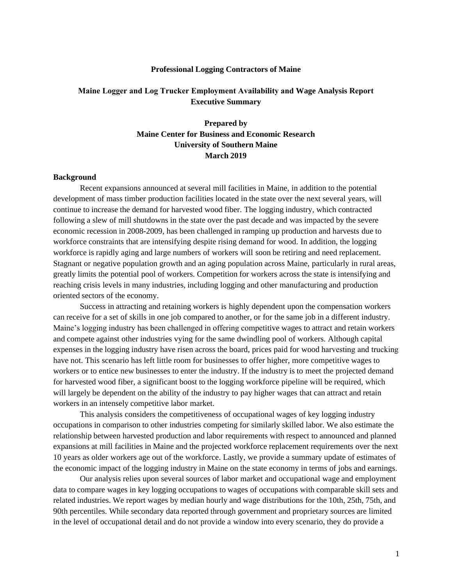#### **Professional Logging Contractors of Maine**

## **Maine Logger and Log Trucker Employment Availability and Wage Analysis Report Executive Summary**

## **Prepared by Maine Center for Business and Economic Research University of Southern Maine March 2019**

#### **Background**

Recent expansions announced at several mill facilities in Maine, in addition to the potential development of mass timber production facilities located in the state over the next several years, will continue to increase the demand for harvested wood fiber. The logging industry, which contracted following a slew of mill shutdowns in the state over the past decade and was impacted by the severe economic recession in 2008-2009, has been challenged in ramping up production and harvests due to workforce constraints that are intensifying despite rising demand for wood. In addition, the logging workforce is rapidly aging and large numbers of workers will soon be retiring and need replacement. Stagnant or negative population growth and an aging population across Maine, particularly in rural areas, greatly limits the potential pool of workers. Competition for workers across the state is intensifying and reaching crisis levels in many industries, including logging and other manufacturing and production oriented sectors of the economy.

Success in attracting and retaining workers is highly dependent upon the compensation workers can receive for a set of skills in one job compared to another, or for the same job in a different industry. Maine's logging industry has been challenged in offering competitive wages to attract and retain workers and compete against other industries vying for the same dwindling pool of workers. Although capital expenses in the logging industry have risen across the board, prices paid for wood harvesting and trucking have not. This scenario has left little room for businesses to offer higher, more competitive wages to workers or to entice new businesses to enter the industry. If the industry is to meet the projected demand for harvested wood fiber, a significant boost to the logging workforce pipeline will be required, which will largely be dependent on the ability of the industry to pay higher wages that can attract and retain workers in an intensely competitive labor market.

This analysis considers the competitiveness of occupational wages of key logging industry occupations in comparison to other industries competing for similarly skilled labor. We also estimate the relationship between harvested production and labor requirements with respect to announced and planned expansions at mill facilities in Maine and the projected workforce replacement requirements over the next 10 years as older workers age out of the workforce. Lastly, we provide a summary update of estimates of the economic impact of the logging industry in Maine on the state economy in terms of jobs and earnings.

Our analysis relies upon several sources of labor market and occupational wage and employment data to compare wages in key logging occupations to wages of occupations with comparable skill sets and related industries. We report wages by median hourly and wage distributions for the 10th, 25th, 75th, and 90th percentiles. While secondary data reported through government and proprietary sources are limited in the level of occupational detail and do not provide a window into every scenario, they do provide a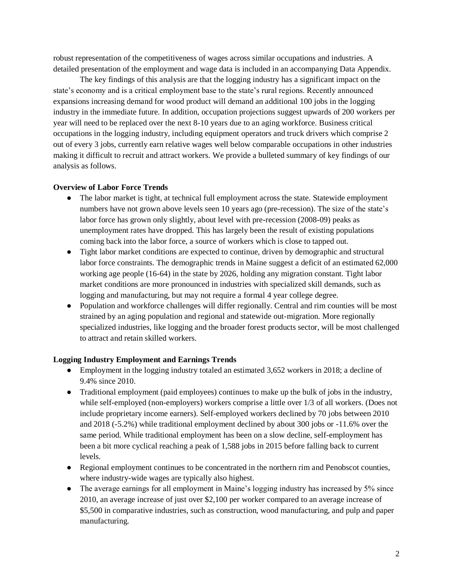robust representation of the competitiveness of wages across similar occupations and industries. A detailed presentation of the employment and wage data is included in an accompanying Data Appendix.

The key findings of this analysis are that the logging industry has a significant impact on the state's economy and is a critical employment base to the state's rural regions. Recently announced expansions increasing demand for wood product will demand an additional 100 jobs in the logging industry in the immediate future. In addition, occupation projections suggest upwards of 200 workers per year will need to be replaced over the next 8-10 years due to an aging workforce. Business critical occupations in the logging industry, including equipment operators and truck drivers which comprise 2 out of every 3 jobs, currently earn relative wages well below comparable occupations in other industries making it difficult to recruit and attract workers. We provide a bulleted summary of key findings of our analysis as follows.

## **Overview of Labor Force Trends**

- The labor market is tight, at technical full employment across the state. Statewide employment numbers have not grown above levels seen 10 years ago (pre-recession). The size of the state's labor force has grown only slightly, about level with pre-recession (2008-09) peaks as unemployment rates have dropped. This has largely been the result of existing populations coming back into the labor force, a source of workers which is close to tapped out.
- Tight labor market conditions are expected to continue, driven by demographic and structural labor force constraints. The demographic trends in Maine suggest a deficit of an estimated 62,000 working age people (16-64) in the state by 2026, holding any migration constant. Tight labor market conditions are more pronounced in industries with specialized skill demands, such as logging and manufacturing, but may not require a formal 4 year college degree.
- Population and workforce challenges will differ regionally. Central and rim counties will be most strained by an aging population and regional and statewide out-migration. More regionally specialized industries, like logging and the broader forest products sector, will be most challenged to attract and retain skilled workers.

#### **Logging Industry Employment and Earnings Trends**

- Employment in the logging industry totaled an estimated 3,652 workers in 2018; a decline of 9.4% since 2010.
- Traditional employment (paid employees) continues to make up the bulk of jobs in the industry, while self-employed (non-employers) workers comprise a little over 1/3 of all workers. (Does not include proprietary income earners). Self-employed workers declined by 70 jobs between 2010 and 2018 (-5.2%) while traditional employment declined by about 300 jobs or -11.6% over the same period. While traditional employment has been on a slow decline, self-employment has been a bit more cyclical reaching a peak of 1,588 jobs in 2015 before falling back to current levels.
- Regional employment continues to be concentrated in the northern rim and Penobscot counties, where industry-wide wages are typically also highest.
- The average earnings for all employment in Maine's logging industry has increased by 5% since 2010, an average increase of just over \$2,100 per worker compared to an average increase of \$5,500 in comparative industries, such as construction, wood manufacturing, and pulp and paper manufacturing.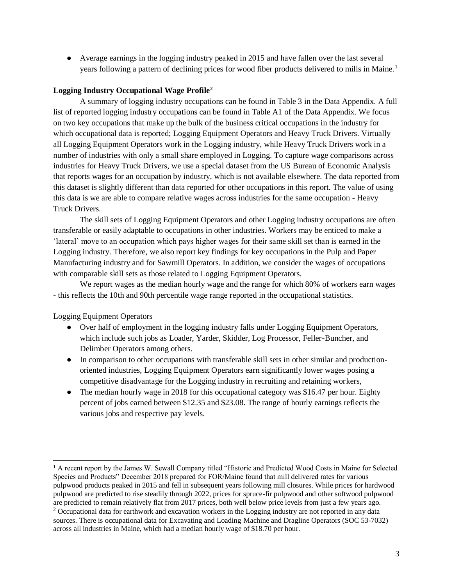● Average earnings in the logging industry peaked in 2015 and have fallen over the last several years following a pattern of declining prices for wood fiber products delivered to mills in Maine.<sup>1</sup>

## **Logging Industry Occupational Wage Profile<sup>2</sup>**

A summary of logging industry occupations can be found in Table 3 in the Data Appendix. A full list of reported logging industry occupations can be found in Table A1 of the Data Appendix. We focus on two key occupations that make up the bulk of the business critical occupations in the industry for which occupational data is reported; Logging Equipment Operators and Heavy Truck Drivers. Virtually all Logging Equipment Operators work in the Logging industry, while Heavy Truck Drivers work in a number of industries with only a small share employed in Logging. To capture wage comparisons across industries for Heavy Truck Drivers, we use a special dataset from the US Bureau of Economic Analysis that reports wages for an occupation by industry, which is not available elsewhere. The data reported from this dataset is slightly different than data reported for other occupations in this report. The value of using this data is we are able to compare relative wages across industries for the same occupation - Heavy Truck Drivers.

The skill sets of Logging Equipment Operators and other Logging industry occupations are often transferable or easily adaptable to occupations in other industries. Workers may be enticed to make a 'lateral' move to an occupation which pays higher wages for their same skill set than is earned in the Logging industry. Therefore, we also report key findings for key occupations in the Pulp and Paper Manufacturing industry and for Sawmill Operators. In addition, we consider the wages of occupations with comparable skill sets as those related to Logging Equipment Operators.

We report wages as the median hourly wage and the range for which 80% of workers earn wages - this reflects the 10th and 90th percentile wage range reported in the occupational statistics.

Logging Equipment Operators

- Over half of employment in the logging industry falls under Logging Equipment Operators, which include such jobs as Loader, Yarder, Skidder, Log Processor, Feller-Buncher, and Delimber Operators among others.
- In comparison to other occupations with transferable skill sets in other similar and productionoriented industries, Logging Equipment Operators earn significantly lower wages posing a competitive disadvantage for the Logging industry in recruiting and retaining workers,
- The median hourly wage in 2018 for this occupational category was \$16.47 per hour. Eighty percent of jobs earned between \$12.35 and \$23.08. The range of hourly earnings reflects the various jobs and respective pay levels.

<sup>&</sup>lt;sup>1</sup> A recent report by the James W. Sewall Company titled "Historic and Predicted Wood Costs in Maine for Selected Species and Products" December 2018 prepared for FOR/Maine found that mill delivered rates for various pulpwood products peaked in 2015 and fell in subsequent years following mill closures. While prices for hardwood pulpwood are predicted to rise steadily through 2022, prices for spruce-fir pulpwood and other softwood pulpwood are predicted to remain relatively flat from 2017 prices, both well below price levels from just a few years ago. <sup>2</sup> Occupational data for earthwork and excavation workers in the Logging industry are not reported in any data sources. There is occupational data for Excavating and Loading Machine and Dragline Operators (SOC 53-7032) across all industries in Maine, which had a median hourly wage of \$18.70 per hour.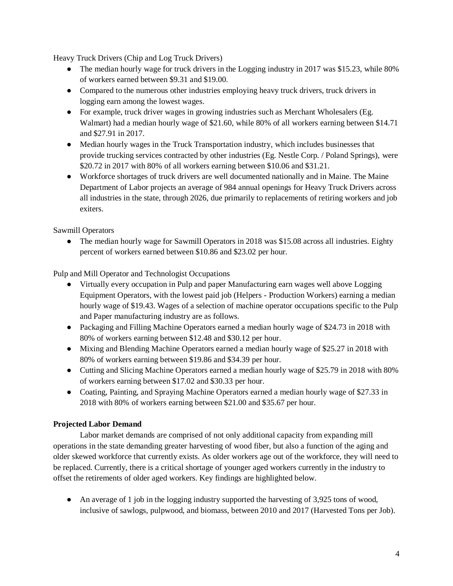Heavy Truck Drivers (Chip and Log Truck Drivers)

- The median hourly wage for truck drivers in the Logging industry in 2017 was \$15.23, while 80% of workers earned between \$9.31 and \$19.00.
- Compared to the numerous other industries employing heavy truck drivers, truck drivers in logging earn among the lowest wages.
- For example, truck driver wages in growing industries such as Merchant Wholesalers (Eg. Walmart) had a median hourly wage of \$21.60, while 80% of all workers earning between \$14.71 and \$27.91 in 2017.
- Median hourly wages in the Truck Transportation industry, which includes businesses that provide trucking services contracted by other industries (Eg. Nestle Corp. / Poland Springs), were \$20.72 in 2017 with 80% of all workers earning between \$10.06 and \$31.21.
- Workforce shortages of truck drivers are well documented nationally and in Maine. The Maine Department of Labor projects an average of 984 annual openings for Heavy Truck Drivers across all industries in the state, through 2026, due primarily to replacements of retiring workers and job exiters.

Sawmill Operators

• The median hourly wage for Sawmill Operators in 2018 was \$15.08 across all industries. Eighty percent of workers earned between \$10.86 and \$23.02 per hour.

Pulp and Mill Operator and Technologist Occupations

- Virtually every occupation in Pulp and paper Manufacturing earn wages well above Logging Equipment Operators, with the lowest paid job (Helpers - Production Workers) earning a median hourly wage of \$19.43. Wages of a selection of machine operator occupations specific to the Pulp and Paper manufacturing industry are as follows.
- Packaging and Filling Machine Operators earned a median hourly wage of \$24.73 in 2018 with 80% of workers earning between \$12.48 and \$30.12 per hour.
- Mixing and Blending Machine Operators earned a median hourly wage of \$25.27 in 2018 with 80% of workers earning between \$19.86 and \$34.39 per hour.
- Cutting and Slicing Machine Operators earned a median hourly wage of \$25.79 in 2018 with 80% of workers earning between \$17.02 and \$30.33 per hour.
- Coating, Painting, and Spraying Machine Operators earned a median hourly wage of \$27.33 in 2018 with 80% of workers earning between \$21.00 and \$35.67 per hour.

## **Projected Labor Demand**

Labor market demands are comprised of not only additional capacity from expanding mill operations in the state demanding greater harvesting of wood fiber, but also a function of the aging and older skewed workforce that currently exists. As older workers age out of the workforce, they will need to be replaced. Currently, there is a critical shortage of younger aged workers currently in the industry to offset the retirements of older aged workers. Key findings are highlighted below.

• An average of 1 job in the logging industry supported the harvesting of 3,925 tons of wood, inclusive of sawlogs, pulpwood, and biomass, between 2010 and 2017 (Harvested Tons per Job).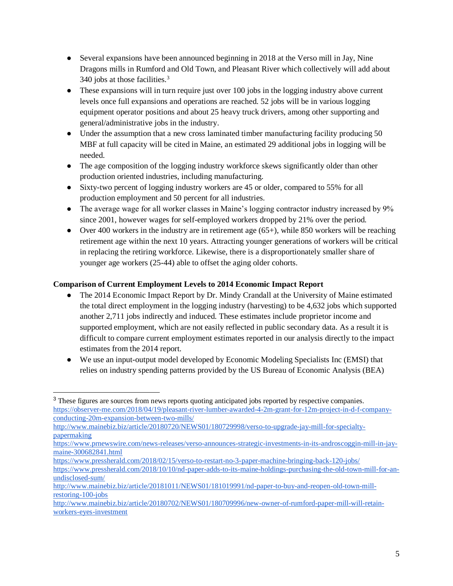- Several expansions have been announced beginning in 2018 at the Verso mill in Jay, Nine Dragons mills in Rumford and Old Town, and Pleasant River which collectively will add about 340 jobs at those facilities.<sup>3</sup>
- These expansions will in turn require just over 100 jobs in the logging industry above current levels once full expansions and operations are reached. 52 jobs will be in various logging equipment operator positions and about 25 heavy truck drivers, among other supporting and general/administrative jobs in the industry.
- Under the assumption that a new cross laminated timber manufacturing facility producing 50 MBF at full capacity will be cited in Maine, an estimated 29 additional jobs in logging will be needed.
- The age composition of the logging industry workforce skews significantly older than other production oriented industries, including manufacturing.
- Sixty-two percent of logging industry workers are 45 or older, compared to 55% for all production employment and 50 percent for all industries.
- The average wage for all worker classes in Maine's logging contractor industry increased by 9% since 2001, however wages for self-employed workers dropped by 21% over the period.
- Over 400 workers in the industry are in retirement age  $(65+)$ , while 850 workers will be reaching retirement age within the next 10 years. Attracting younger generations of workers will be critical in replacing the retiring workforce. Likewise, there is a disproportionately smaller share of younger age workers (25-44) able to offset the aging older cohorts.

## **Comparison of Current Employment Levels to 2014 Economic Impact Report**

- The 2014 Economic Impact Report by Dr. Mindy Crandall at the University of Maine estimated the total direct employment in the logging industry (harvesting) to be 4,632 jobs which supported another 2,711 jobs indirectly and induced. These estimates include proprietor income and supported employment, which are not easily reflected in public secondary data. As a result it is difficult to compare current employment estimates reported in our analysis directly to the impact estimates from the 2014 report.
- We use an input-output model developed by Economic Modeling Specialists Inc (EMSI) that relies on industry spending patterns provided by the US Bureau of Economic Analysis (BEA)

<sup>&</sup>lt;sup>3</sup> These figures are sources from news reports quoting anticipated jobs reported by respective companies. [https://observer-me.com/2018/04/19/pleasant-river-lumber-awarded-4-2m-grant-for-12m-project-in-d-f-company](https://observer-me.com/2018/04/19/pleasant-river-lumber-awarded-4-2m-grant-for-12m-project-in-d-f-company-conducting-20m-expansion-between-two-mills/)[conducting-20m-expansion-between-two-mills/](https://observer-me.com/2018/04/19/pleasant-river-lumber-awarded-4-2m-grant-for-12m-project-in-d-f-company-conducting-20m-expansion-between-two-mills/)

[http://www.mainebiz.biz/article/20180720/NEWS01/180729998/verso-to-upgrade-jay-mill-for-specialty](http://www.mainebiz.biz/article/20180720/NEWS01/180729998/verso-to-upgrade-jay-mill-for-specialty-papermaking)[papermaking](http://www.mainebiz.biz/article/20180720/NEWS01/180729998/verso-to-upgrade-jay-mill-for-specialty-papermaking)

[https://www.prnewswire.com/news-releases/verso-announces-strategic-investments-in-its-androscoggin-mill-in-jay](https://www.prnewswire.com/news-releases/verso-announces-strategic-investments-in-its-androscoggin-mill-in-jay-maine-300682841.html)[maine-300682841.html](https://www.prnewswire.com/news-releases/verso-announces-strategic-investments-in-its-androscoggin-mill-in-jay-maine-300682841.html)

<https://www.pressherald.com/2018/02/15/verso-to-restart-no-3-paper-machine-bringing-back-120-jobs/> [https://www.pressherald.com/2018/10/10/nd-paper-adds-to-its-maine-holdings-purchasing-the-old-town-mill-for-an](https://www.pressherald.com/2018/10/10/nd-paper-adds-to-its-maine-holdings-purchasing-the-old-town-mill-for-an-undisclosed-sum/)[undisclosed-sum/](https://www.pressherald.com/2018/10/10/nd-paper-adds-to-its-maine-holdings-purchasing-the-old-town-mill-for-an-undisclosed-sum/)

[http://www.mainebiz.biz/article/20181011/NEWS01/181019991/nd-paper-to-buy-and-reopen-old-town-mill](http://www.mainebiz.biz/article/20181011/NEWS01/181019991/nd-paper-to-buy-and-reopen-old-town-mill-restoring-100-jobs)[restoring-100-jobs](http://www.mainebiz.biz/article/20181011/NEWS01/181019991/nd-paper-to-buy-and-reopen-old-town-mill-restoring-100-jobs)

[http://www.mainebiz.biz/article/20180702/NEWS01/180709996/new-owner-of-rumford-paper-mill-will-retain](http://www.mainebiz.biz/article/20180702/NEWS01/180709996/new-owner-of-rumford-paper-mill-will-retain-workers-eyes-investment)[workers-eyes-investment](http://www.mainebiz.biz/article/20180702/NEWS01/180709996/new-owner-of-rumford-paper-mill-will-retain-workers-eyes-investment)